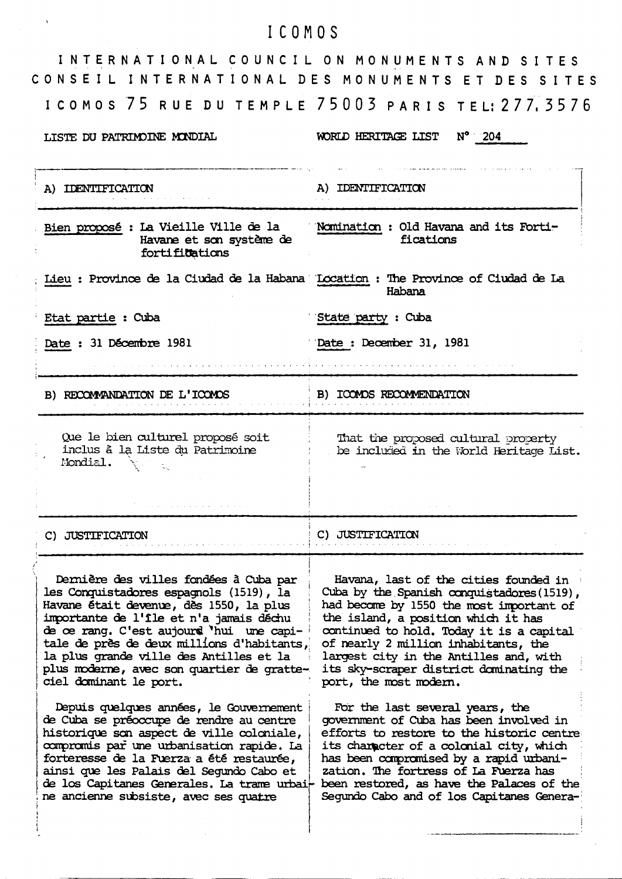# ICOMOS

 $\ddot{\phantom{0}}$ 

| INTERNATIONAL COUNCIL ON MONUMENTS AND SITES<br>CONSEIL INTERNATIONAL DES MONUMENTS ET DES SITES                                                                                                                                                                                                                                                                                     |                                                                                                                                                                                                                                                                                                                                                                           |
|--------------------------------------------------------------------------------------------------------------------------------------------------------------------------------------------------------------------------------------------------------------------------------------------------------------------------------------------------------------------------------------|---------------------------------------------------------------------------------------------------------------------------------------------------------------------------------------------------------------------------------------------------------------------------------------------------------------------------------------------------------------------------|
|                                                                                                                                                                                                                                                                                                                                                                                      | I COMOS 75 RUE DU TEMPLE 75003 PARIS TEL: 277, 3576                                                                                                                                                                                                                                                                                                                       |
| LISTE DU PATRIMOINE MONDIAL                                                                                                                                                                                                                                                                                                                                                          | $N^{\circ}$ 204<br>WORLD HERITAGE LIST                                                                                                                                                                                                                                                                                                                                    |
| A) IDENTIFICATION                                                                                                                                                                                                                                                                                                                                                                    | A) IDENTIFICATION                                                                                                                                                                                                                                                                                                                                                         |
| Bien proposé : La Vieille Ville de la<br>Havane et son système de<br>fortifications                                                                                                                                                                                                                                                                                                  | Nomination : Old Havana and its Forti-<br>fications                                                                                                                                                                                                                                                                                                                       |
| Lieu : Province de la Ciudad de la Habana (Location : The Province of Ciudad de La                                                                                                                                                                                                                                                                                                   | Habana                                                                                                                                                                                                                                                                                                                                                                    |
| Etat partie : Cuba                                                                                                                                                                                                                                                                                                                                                                   | State party : Cuba                                                                                                                                                                                                                                                                                                                                                        |
| Date: 31 Décembre 1981                                                                                                                                                                                                                                                                                                                                                               | Date: December 31, 1981                                                                                                                                                                                                                                                                                                                                                   |
| B) RECOMMANDATION DE L'ICOMOS                                                                                                                                                                                                                                                                                                                                                        | B) ICOMOS RECOMMENDATION                                                                                                                                                                                                                                                                                                                                                  |
| Que le bien culturel proposé soit<br>inclus à la Liste du Patrimoine<br>Mondial.                                                                                                                                                                                                                                                                                                     | That the proposed cultural property<br>be included in the World Heritage List.                                                                                                                                                                                                                                                                                            |
| C) JUSTIFICATION                                                                                                                                                                                                                                                                                                                                                                     | C) JUSTIFICATION                                                                                                                                                                                                                                                                                                                                                          |
| Dernière des villes fondées à Cuba par<br>les Conquistadores espagnols (1519), la<br>Havane était devenue, dès 1550, la plus<br>importante de l'île et n'a jamais déchu<br>de ce rang. C'est aujourd 'hui une capi-<br>tale de près de deux millions d'habitants,<br>la plus grande ville des Antilles et la<br>plus moderne, avec son quartier de gratte-<br>ciel dominant le port. | Havana, last of the cities founded in<br>Cuba by the Spanish conquistadores (1519),<br>had become by 1550 the most important of<br>the island, a position which it has<br>continued to hold. Today it is a capital<br>of nearly 2 million inhabitants, the<br>largest city in the Antilles and, with<br>its sky-scraper district dominating the<br>port, the most modern. |
| Depuis quelques années, le Gouvernement<br>de Cuba se préoccupe de rendre au centre<br>historique son aspect de ville coloniale,<br>compromis par une urbanisation rapide. La<br>forteresse de la Fuerza a été restaurée,<br>ainsi que les Palais del Segundo Cabo et<br>de los Capitanes Generales. La trame urbai-<br>ne ancienne subsiste, avec ses quatre                        | For the last several years, the<br>government of Cuba has been involved in<br>efforts to restore to the historic centre<br>its character of a colonial city, which<br>has been compromised by a rapid urbani-<br>zation. The fortress of La Fuerza has<br>been restored, as have the Palaces of the<br>Segundo Cabo and of los Capitanes Genera-                          |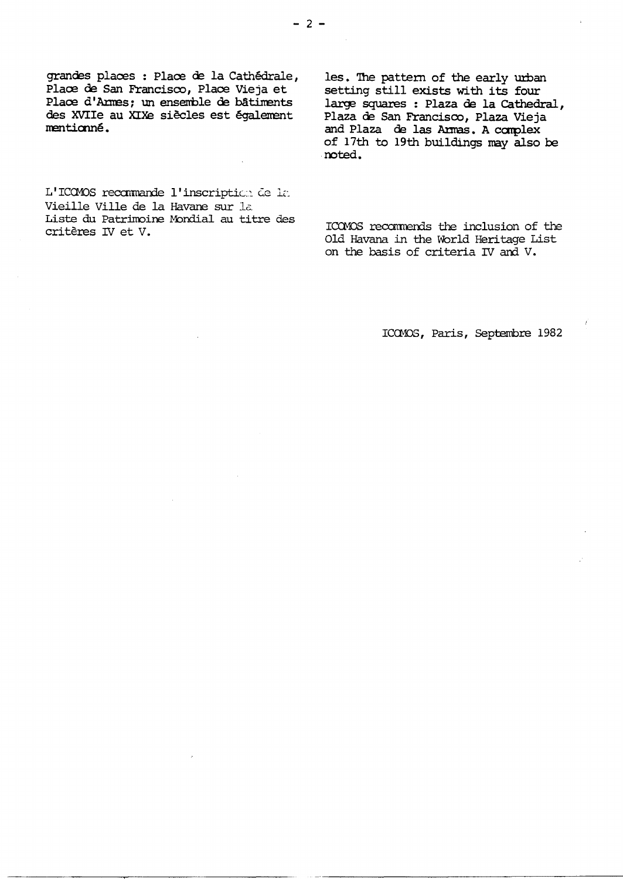grandes places : Place de la Cathédrale, Place de San Francisco, Place Vieja et Place d'Armes; un ensemble de bâtiments des XVIIe au XIXe siècles est également mentionné.

les. The pattern of the early urban setting still exists with its four large squares : Plaza de la Cathedral, Plaza de San Francisco, Plaza Vieja and Plaza de las Armas. A complex of 17th to 19th buildings may also be noted.

L'ICOMOS recommande l'inscription de la Vieille Ville de la Havane sur la Liste du Patrimoine Mondial au titre des critères IV et V.

ICOMOS recommends the inclusion of the Old Havana in the World Heritage List on the basis of criteria IV and V.

ICOMOS, Paris, Septembre 1982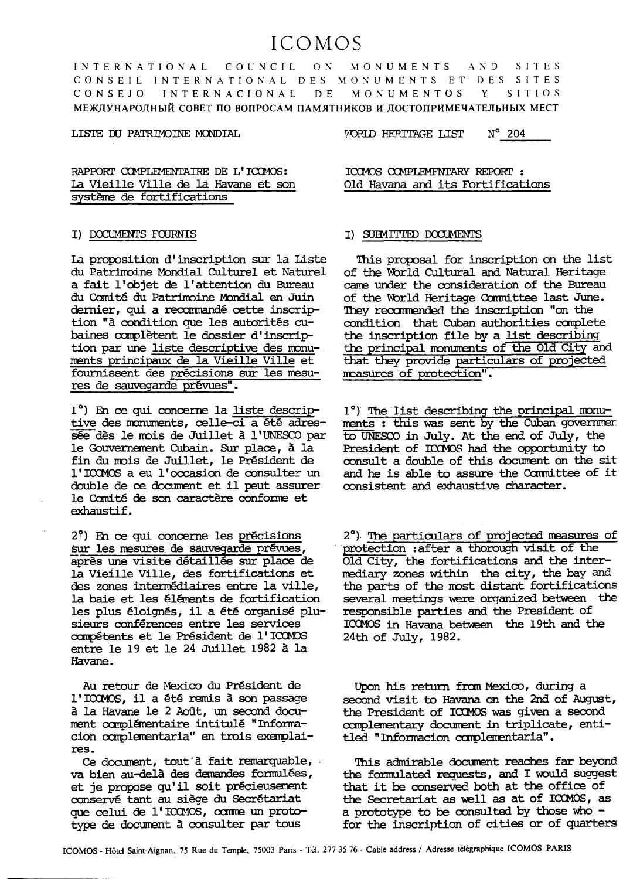# ICOMOS

MONUMENTS AND COUNCIL **INTERNATIONAL**  $O N$ SITES CONSEIL INTERNATIONAL DES MONUMENTS ET DES SITES **INTERNACIONAL** MONUMENTOS SITIOS CONSEJO D E Y МЕЖДУНАРОДНЫЙ СОВЕТ ПО ВОПРОСАМ ПАМЯТНИКОВ И ДОСТОПРИМЕЧАТЕЛЬНЫХ МЕСТ

#### LISTE DU PATRIMOINE MONDIAL

WORLD HERITAGE LIST N° 204

RAPPORT COMPLEMENTATRE DE L'ICOMOS: La Vieille Ville de la Havane et son système de fortifications

## I) DOCUMENTS FOURNIS

La proposition d'inscription sur la Liste du Patrimoine Mondial Culturel et Naturel a fait l'objet de l'attention du Bureau du Comité du Patrimoine Mondial en Juin dernier, qui a recommandé cette inscription "à condition que les autorités cubaines complètent le dossier d'inscription par une liste descriptive des monuments principaux de la Vieille Ville et fournissent des précisions sur les mesures de sauvegarde prévues".

1°) En ce qui concerne la liste descriptive des monuments, celle-ci a été adressée dès le mois de Juillet à l'UNESCO par le Gouvernement Cubain. Sur place, à la fin du mois de Juillet, le Président de l'ICOMOS a eu l'occasion de consulter un double de ce document et il peut assurer le Comité de son caractère conforme et exhaustif.

2%) En ce qui concerne les précisions sur les mesures de sauvegarde prévues, après une visite détaillée sur place de la Vieille Ville, des fortifications et des zones intermédiaires entre la ville, la baie et les éléments de fortification les plus éloignés, il a été organisé plusieurs conférences entre les services compétents et le Président de l'ICOMOS entre le 19 et le 24 Juillet 1982 à la Havane.

Au retour de Mexico du Président de l'ICOMOS, il a été remis à son passage à la Havane le 2 Août, un second document complémentaire intitulé "Informacion complementaria" en trois exemplaires.

Ce document, tout à fait remarquable, va bien au-delà des demandes formulées, et je propose qu'il soit précieusement conservé tant au siège du Secrétariat que celui de l'ICOMOS, comme un prototype de document à consulter par tous

ICOMOS COMPLEMENTARY REPORT : Old Havana and its Fortifications

## I) SUBMITTED DOCUMENTS

This proposal for inscription on the list of the World Cultural and Natural Heritage came under the consideration of the Bureau of the World Heritage Committee last June. They recommended the inscription "on the condition that Cuban authorities complete the inscription file by a list describing the principal monuments of the Old City and that they provide particulars of projected measures of protection".

1°) The list describing the principal monuments : this was sent by the Cuban government to UNESCO in July. At the end of July, the President of ICOMOS had the opportunity to consult a double of this document on the sit and he is able to assure the Committee of it consistent and exhaustive character.

2°) The particulars of projected measures of protection : after a thorough visit of the Old City, the fortifications and the intermediary zones within the city, the bay and the parts of the most distant fortifications several meetings were organized between the responsible parties and the President of ICOMOS in Havana between the 19th and the 24th of July, 1982.

Upon his return from Mexico, during a second visit to Havana on the 2nd of August, the President of ICOMOS was given a second complementary document in triplicate, entitled "Informacion complementaria".

This admirable document reaches far beyond the formulated requests, and I would suggest that it be conserved both at the office of the Secretariat as well as at of ICOMOS, as a prototype to be consulted by those who for the inscription of cities or of quarters

ICOMOS - Hôtel Saint-Aignan, 75 Rue du Temple, 75003 Paris - Tél. 277 35 76 - Cable address / Adresse télégraphique ICOMOS PARIS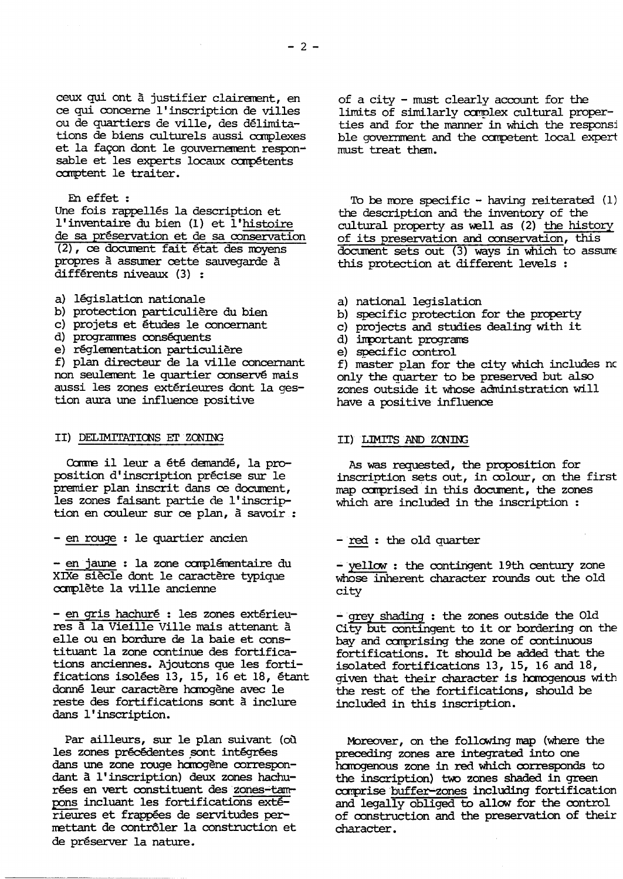ceux qui ont à justifier clairement, en ce qui concerne l' inscription de villes ou de quartiers de ville, des délimitations de biens culturels aussi canplexes et la façon dont le gouvernement responsable et les experts locaux compétents comptent le traiter.

#### En effet :

Une fois rappellés la description et l'inventaire du bien (1) et 1 'histoire de sa preservation et de sa conservation (2), ce document fait état des moyens propres à assumer cette sauvegarde à differents niveaux (3) :

- a) legislation nationale
- b) protection particuliere du bien
- c) projets et etudes Ie concernant
- d) programmes conséquents
- e) reglementation particuliere

f) plan directeur de la ville concernant non seulement Ie quartier conserve mais aussi les zones extérieures dont la gestion aura une influence positive

#### II) DELIMITATICNS EI' ZCNING

Comme il leur a été demandé, la proposition d'inscription precise sur Ie premier plan inscrit dans ce document, les zones faisant partie de I' inscription en couleur sur ce plan, a savoir :

- en rouge : Ie quartier ancien

- en jaune : la zone complémentaire du XIXe siècle dont le caractère typique canplete la ville ancienne

- en gris hachuré : les zones extérieures a la Vieille Ville mais attenant a elle ou en bordure de la baie et constituant la zone continue des fortifications anciennes. Ajoutons que les fortifications isolees 13, 15, 16 et 18, etant donné leur caractère homogène avec le reste des fortifications sont a inclure dans I' inscription.

Par ailleurs, sur le plan suivant (où les zones précédentes sont intégrées dans une zone rouge hamogène correspondant a I' inscription) deux zones hachurées en vert constituent des zones-tampons incluant les fortifications extérieures et frappées de servitudes permettant de contrôler la construction et de préserver la nature.

of a city  $-$  must clearly account for the limits of similarly complex cultural properties and for the manner in which the responsi ble government and the carpetent local expert must treat them.

To be more specific - having reiterated  $(1)$ the description and the inventory of the cultural property as well as (2) the history of its preservation and conservation, this  $d$ ocument sets out  $(3)$  ways in which to assume this protection at different levels

- a) national legislation
- b) specific protection for the property
- c) projects and studies dealing with it
- d) inportant prograns
- e) SPeCific control

f) master plan for the city which includes nc only the quarter to be preserved but also zones outside it whose administration will have a positive influence

# II) LIMITS AND ZONING

As was requested, the proposition for inscrintion sets out, in colour, on the first map comprised in this document, the zones which are included in the inscription :

 $-$  red : the old quarter

- yellow : the contingent 19th century zone whose inherent character rounds out the old city

- grey shading : the zones outside the Old City but contingent to it or bordering on the bay and canprising the zone of continuous fortifications. It should be added that the isolated fortifications 13, 15, 16 and 18, given that their character is homogenous with the rest of the fortifications, should be included in this inscription.

Moreover, on the following map (where the preceding zones are integrated into one harogenous zone in red which corresponds to the inscription) two zones shaded in green comprise buffer-zones including fortification and legally obliged to allow for the control of construction and the preservation of their character.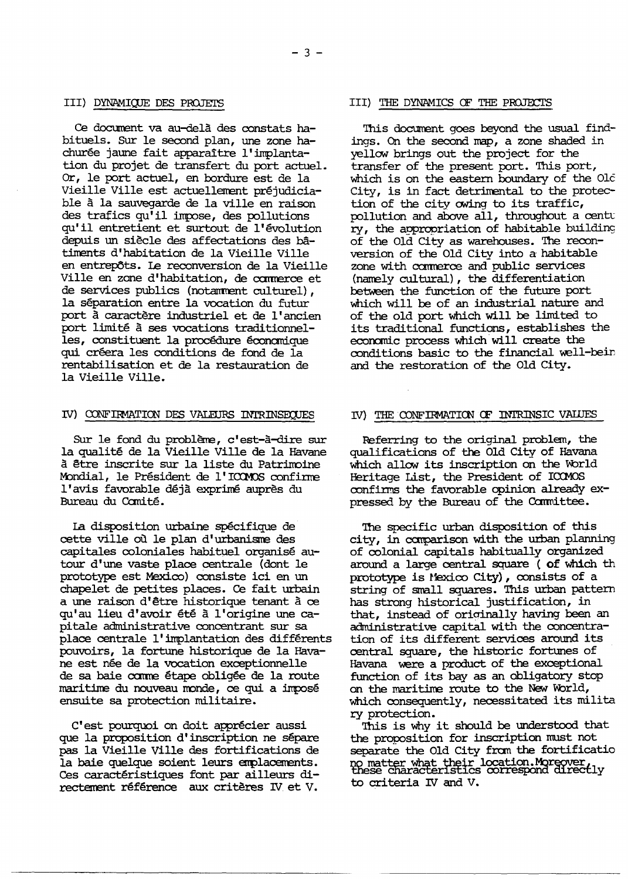#### III) DYNAMIQUE DES PROJETS

Ce document va au-delà des constats habituels. Sur le second plan, une zone hachurée jaune fait apparaître l'implantation du projet de transfert du port actuel. Or, le port actuel, en bordure est de la Vieille Ville est actuellement préjudiciable à la sauvegarde de la ville en raison des trafics qu'il impose, des pollutions qu'il entretient et surtout de l'évolution depuis un siècle des affectations des bâtiments d'habitation de la Vieille Ville en entrepôts. Le reconversion de la Vieille Ville en zone d'habitation, de commerce et de services publics (notamment culturel), la séparation entre la vocation du futur port à caractère industriel et de l'ancien port limité à ses vocations traditionnelles, constituent la procédure économique qui créera les conditions de fond de la rentabilisation et de la restauration de la Vieille Ville.

#### IV) CONFIRMATION DES VALEURS INTRINSEQUES

Sur le fond du problème, c'est-à-dire sur la qualité de la Vieille Ville de la Havane à être inscrite sur la liste du Patrimoine Mondial, le Président de l'ICOMOS confirme l'avis favorable déjà exprimé auprès du Bureau du Comité.

La disposition urbaine spécifique de cette ville où le plan d'urbanisme des capitales coloniales habituel organisé autour d'une vaste place centrale (dont le prototype est Mexico) consiste ici en un chapelet de petites places. Ce fait urbain a une raison d'être historique tenant à ce qu'au lieu d'avoir été à l'origine une capitale administrative concentrant sur sa place centrale l'implantation des différents pouvoirs, la fortune historique de la Havane est née de la vocation exceptionnelle de sa baie comme étape obligée de la route maritime du nouveau monde, ce qui a imposé ensuite sa protection militaire.

C'est pourquoi on doit apprécier aussi que la proposition d'inscription ne sépare pas la Vieille Ville des fortifications de la baie quelque soient leurs emplacements. Ces caractéristiques font par ailleurs directement référence aux critères IV et V.

#### III) THE DYNAMICS OF THE PROJECTS

This document goes beyond the usual findings. On the second map, a zone shaded in yellow brings out the project for the transfer of the present port. This port, which is on the eastern boundary of the Old City, is in fact detrimental to the protection of the city owing to its traffic, pollution and above all, throughout a centu ry, the appropriation of habitable building of the Old City as warehouses. The reconversion of the Old City into a habitable zone with commerce and public services (namely cultural), the differentiation between the function of the future port which will be of an industrial nature and of the old port which will be limited to its traditional functions, establishes the economic process which will create the conditions basic to the financial well-bein and the restoration of the Old City.

# IV) THE CONFIRMATION OF INTRINSIC VALUES

Referring to the original problem, the qualifications of the Old City of Havana which allow its inscription on the World Heritage List, the President of ICOMOS confirms the favorable opinion already expressed by the Bureau of the Committee.

The specific urban disposition of this city, in comparison with the urban planning of colonial capitals habitually organized around a large central square ( of which th prototype is Mexico City), consists of a string of small squares. This urban pattern has strong historical justification, in that, instead of originally having been an administrative capital with the concentration of its different services around its central square, the historic fortunes of Havana were a product of the exceptional function of its bay as an obligatory stop on the maritime route to the New World, which consequently, necessitated its milita ry protection.

This is why it should be understood that the proposition for inscription must not separate the Old City from the fortificatio no matter what their location. Moreover,<br>these characteristics correspond directly to criteria IV and V.